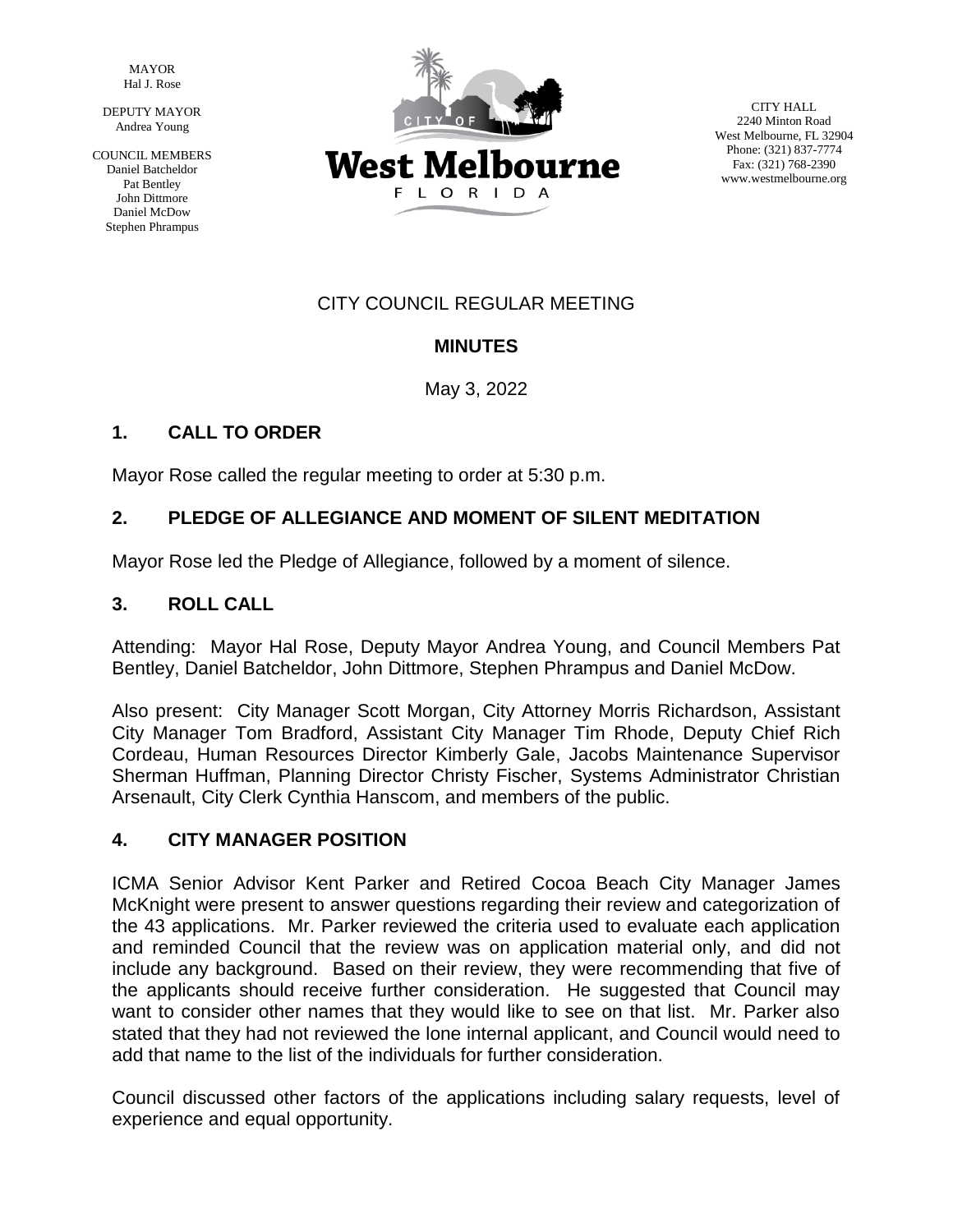MAYOR Hal J. Rose

DEPUTY MAYOR Andrea Young

COUNCIL MEMBERS Daniel Batcheldor Pat Bentley John Dittmore Daniel McDow Stephen Phrampus



CITY HALL 2240 Minton Road West Melbourne, FL 32904 Phone: (321) 837-7774 Fax: (321) 768-2390 www.westmelbourne.org

## CITY COUNCIL REGULAR MEETING

# **MINUTES**

May 3, 2022

# **1. CALL TO ORDER**

Mayor Rose called the regular meeting to order at 5:30 p.m.

### **2. PLEDGE OF ALLEGIANCE AND MOMENT OF SILENT MEDITATION**

Mayor Rose led the Pledge of Allegiance, followed by a moment of silence.

### **3. ROLL CALL**

Attending: Mayor Hal Rose, Deputy Mayor Andrea Young, and Council Members Pat Bentley, Daniel Batcheldor, John Dittmore, Stephen Phrampus and Daniel McDow.

Also present: City Manager Scott Morgan, City Attorney Morris Richardson, Assistant City Manager Tom Bradford, Assistant City Manager Tim Rhode, Deputy Chief Rich Cordeau, Human Resources Director Kimberly Gale, Jacobs Maintenance Supervisor Sherman Huffman, Planning Director Christy Fischer, Systems Administrator Christian Arsenault, City Clerk Cynthia Hanscom, and members of the public.

### **4. CITY MANAGER POSITION**

ICMA Senior Advisor Kent Parker and Retired Cocoa Beach City Manager James McKnight were present to answer questions regarding their review and categorization of the 43 applications. Mr. Parker reviewed the criteria used to evaluate each application and reminded Council that the review was on application material only, and did not include any background. Based on their review, they were recommending that five of the applicants should receive further consideration. He suggested that Council may want to consider other names that they would like to see on that list. Mr. Parker also stated that they had not reviewed the lone internal applicant, and Council would need to add that name to the list of the individuals for further consideration.

Council discussed other factors of the applications including salary requests, level of experience and equal opportunity.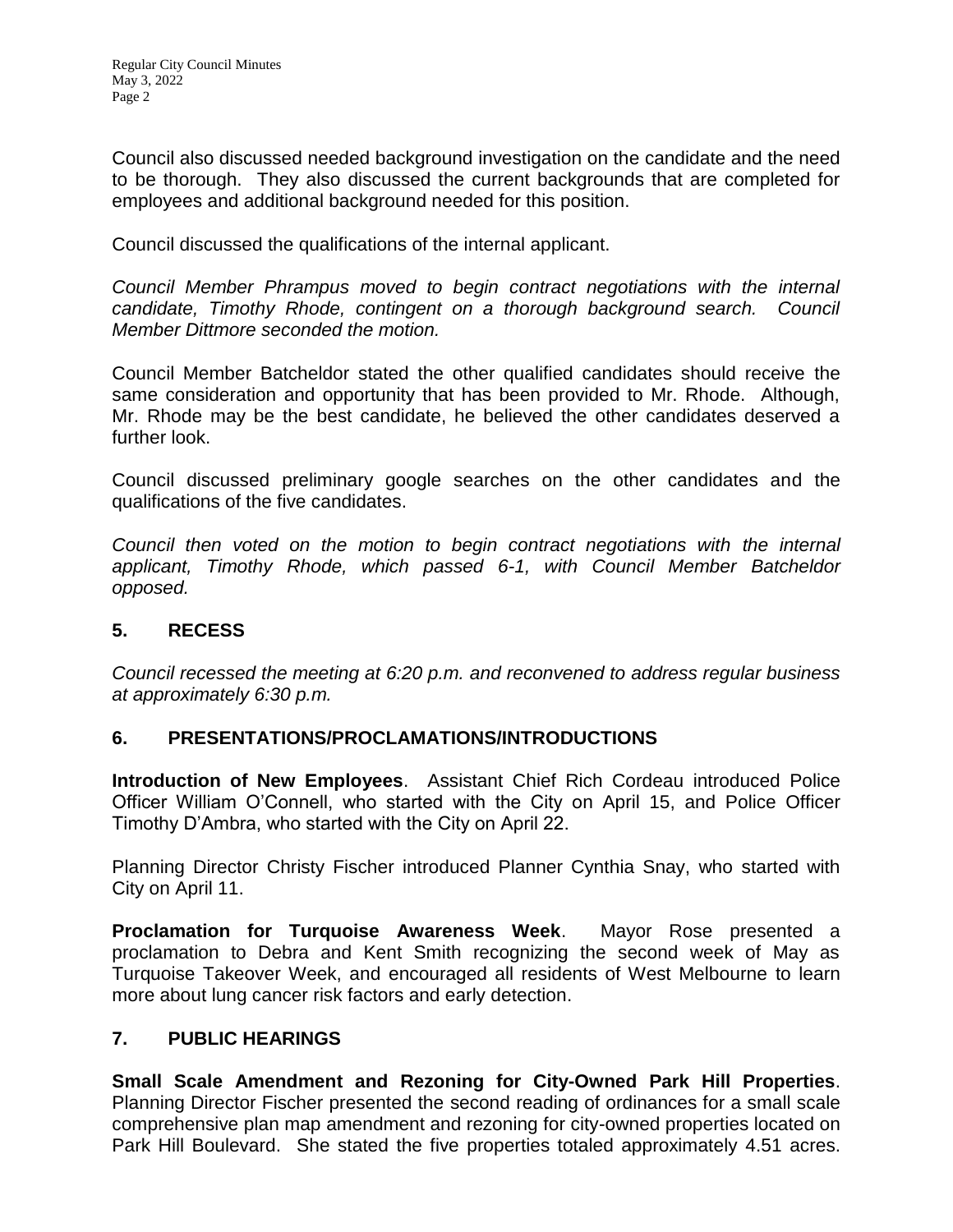Council also discussed needed background investigation on the candidate and the need to be thorough. They also discussed the current backgrounds that are completed for employees and additional background needed for this position.

Council discussed the qualifications of the internal applicant.

*Council Member Phrampus moved to begin contract negotiations with the internal candidate, Timothy Rhode, contingent on a thorough background search. Council Member Dittmore seconded the motion.*

Council Member Batcheldor stated the other qualified candidates should receive the same consideration and opportunity that has been provided to Mr. Rhode. Although, Mr. Rhode may be the best candidate, he believed the other candidates deserved a further look.

Council discussed preliminary google searches on the other candidates and the qualifications of the five candidates.

*Council then voted on the motion to begin contract negotiations with the internal applicant, Timothy Rhode, which passed 6-1, with Council Member Batcheldor opposed.*

### **5. RECESS**

*Council recessed the meeting at 6:20 p.m. and reconvened to address regular business at approximately 6:30 p.m.*

### **6. PRESENTATIONS/PROCLAMATIONS/INTRODUCTIONS**

**Introduction of New Employees**. Assistant Chief Rich Cordeau introduced Police Officer William O'Connell, who started with the City on April 15, and Police Officer Timothy D'Ambra, who started with the City on April 22.

Planning Director Christy Fischer introduced Planner Cynthia Snay, who started with City on April 11.

**Proclamation for Turquoise Awareness Week**. Mayor Rose presented a proclamation to Debra and Kent Smith recognizing the second week of May as Turquoise Takeover Week, and encouraged all residents of West Melbourne to learn more about lung cancer risk factors and early detection.

### **7. PUBLIC HEARINGS**

**Small Scale Amendment and Rezoning for City-Owned Park Hill Properties**. Planning Director Fischer presented the second reading of ordinances for a small scale comprehensive plan map amendment and rezoning for city-owned properties located on Park Hill Boulevard. She stated the five properties totaled approximately 4.51 acres.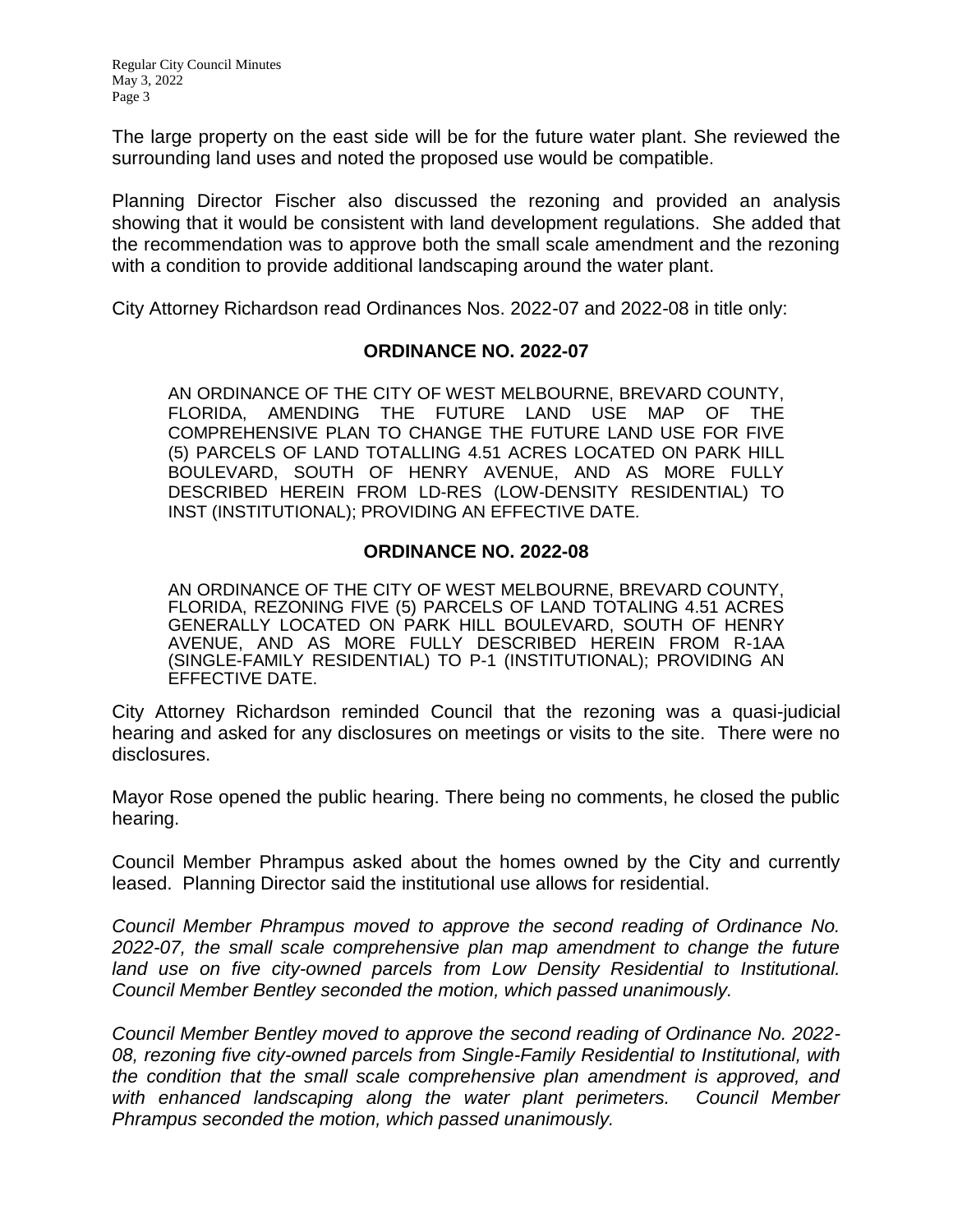The large property on the east side will be for the future water plant. She reviewed the surrounding land uses and noted the proposed use would be compatible.

Planning Director Fischer also discussed the rezoning and provided an analysis showing that it would be consistent with land development regulations. She added that the recommendation was to approve both the small scale amendment and the rezoning with a condition to provide additional landscaping around the water plant.

City Attorney Richardson read Ordinances Nos. 2022-07 and 2022-08 in title only:

### **ORDINANCE NO. 2022-07**

AN ORDINANCE OF THE CITY OF WEST MELBOURNE, BREVARD COUNTY, FLORIDA, AMENDING THE FUTURE LAND USE MAP OF THE COMPREHENSIVE PLAN TO CHANGE THE FUTURE LAND USE FOR FIVE (5) PARCELS OF LAND TOTALLING 4.51 ACRES LOCATED ON PARK HILL BOULEVARD, SOUTH OF HENRY AVENUE, AND AS MORE FULLY DESCRIBED HEREIN FROM LD-RES (LOW-DENSITY RESIDENTIAL) TO INST (INSTITUTIONAL); PROVIDING AN EFFECTIVE DATE.

### **ORDINANCE NO. 2022-08**

AN ORDINANCE OF THE CITY OF WEST MELBOURNE, BREVARD COUNTY, FLORIDA, REZONING FIVE (5) PARCELS OF LAND TOTALING 4.51 ACRES GENERALLY LOCATED ON PARK HILL BOULEVARD, SOUTH OF HENRY AVENUE, AND AS MORE FULLY DESCRIBED HEREIN FROM R-1AA (SINGLE-FAMILY RESIDENTIAL) TO P-1 (INSTITUTIONAL); PROVIDING AN EFFECTIVE DATE.

City Attorney Richardson reminded Council that the rezoning was a quasi-judicial hearing and asked for any disclosures on meetings or visits to the site. There were no disclosures.

Mayor Rose opened the public hearing. There being no comments, he closed the public hearing.

Council Member Phrampus asked about the homes owned by the City and currently leased. Planning Director said the institutional use allows for residential.

*Council Member Phrampus moved to approve the second reading of Ordinance No. 2022-07, the small scale comprehensive plan map amendment to change the future*  land use on five city-owned parcels from Low Density Residential to Institutional. *Council Member Bentley seconded the motion, which passed unanimously.*

*Council Member Bentley moved to approve the second reading of Ordinance No. 2022- 08, rezoning five city-owned parcels from Single-Family Residential to Institutional, with the condition that the small scale comprehensive plan amendment is approved, and with enhanced landscaping along the water plant perimeters. Council Member Phrampus seconded the motion, which passed unanimously.*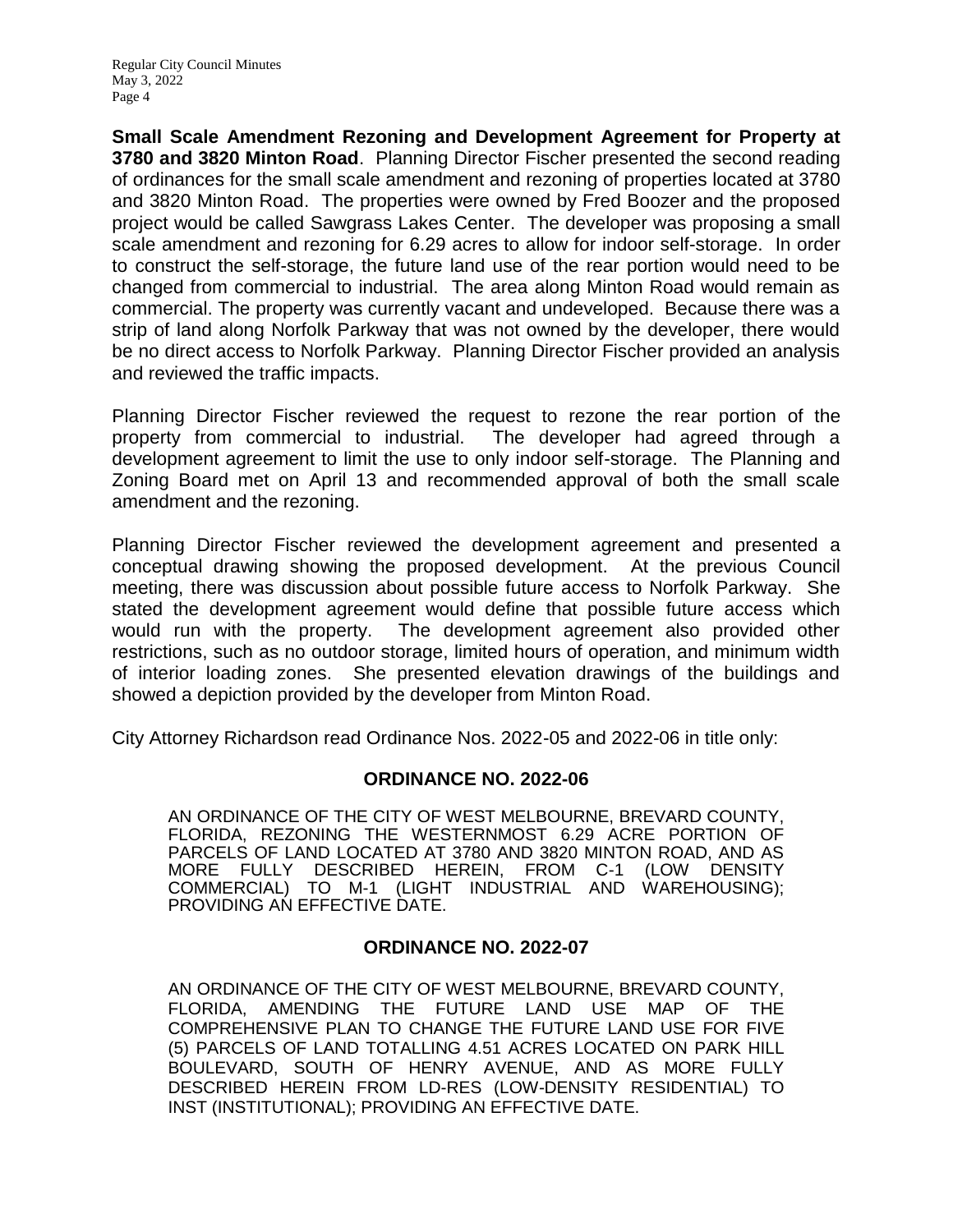**Small Scale Amendment Rezoning and Development Agreement for Property at 3780 and 3820 Minton Road**. Planning Director Fischer presented the second reading of ordinances for the small scale amendment and rezoning of properties located at 3780 and 3820 Minton Road. The properties were owned by Fred Boozer and the proposed project would be called Sawgrass Lakes Center. The developer was proposing a small scale amendment and rezoning for 6.29 acres to allow for indoor self-storage. In order to construct the self-storage, the future land use of the rear portion would need to be changed from commercial to industrial. The area along Minton Road would remain as commercial. The property was currently vacant and undeveloped. Because there was a strip of land along Norfolk Parkway that was not owned by the developer, there would be no direct access to Norfolk Parkway. Planning Director Fischer provided an analysis and reviewed the traffic impacts.

Planning Director Fischer reviewed the request to rezone the rear portion of the property from commercial to industrial. The developer had agreed through a development agreement to limit the use to only indoor self-storage. The Planning and Zoning Board met on April 13 and recommended approval of both the small scale amendment and the rezoning.

Planning Director Fischer reviewed the development agreement and presented a conceptual drawing showing the proposed development. At the previous Council meeting, there was discussion about possible future access to Norfolk Parkway. She stated the development agreement would define that possible future access which would run with the property. The development agreement also provided other restrictions, such as no outdoor storage, limited hours of operation, and minimum width of interior loading zones. She presented elevation drawings of the buildings and showed a depiction provided by the developer from Minton Road.

City Attorney Richardson read Ordinance Nos. 2022-05 and 2022-06 in title only:

### **ORDINANCE NO. 2022-06**

AN ORDINANCE OF THE CITY OF WEST MELBOURNE, BREVARD COUNTY, FLORIDA, REZONING THE WESTERNMOST 6.29 ACRE PORTION OF PARCELS OF LAND LOCATED AT 3780 AND 3820 MINTON ROAD, AND AS MORE FULLY DESCRIBED HEREIN, FROM C-1 (LOW DENSITY COMMERCIAL) TO M-1 (LIGHT INDUSTRIAL AND WAREHOUSING); PROVIDING AN EFFECTIVE DATE.

#### **ORDINANCE NO. 2022-07**

AN ORDINANCE OF THE CITY OF WEST MELBOURNE, BREVARD COUNTY, FLORIDA, AMENDING THE FUTURE LAND USE MAP OF THE COMPREHENSIVE PLAN TO CHANGE THE FUTURE LAND USE FOR FIVE (5) PARCELS OF LAND TOTALLING 4.51 ACRES LOCATED ON PARK HILL BOULEVARD, SOUTH OF HENRY AVENUE, AND AS MORE FULLY DESCRIBED HEREIN FROM LD-RES (LOW-DENSITY RESIDENTIAL) TO INST (INSTITUTIONAL); PROVIDING AN EFFECTIVE DATE.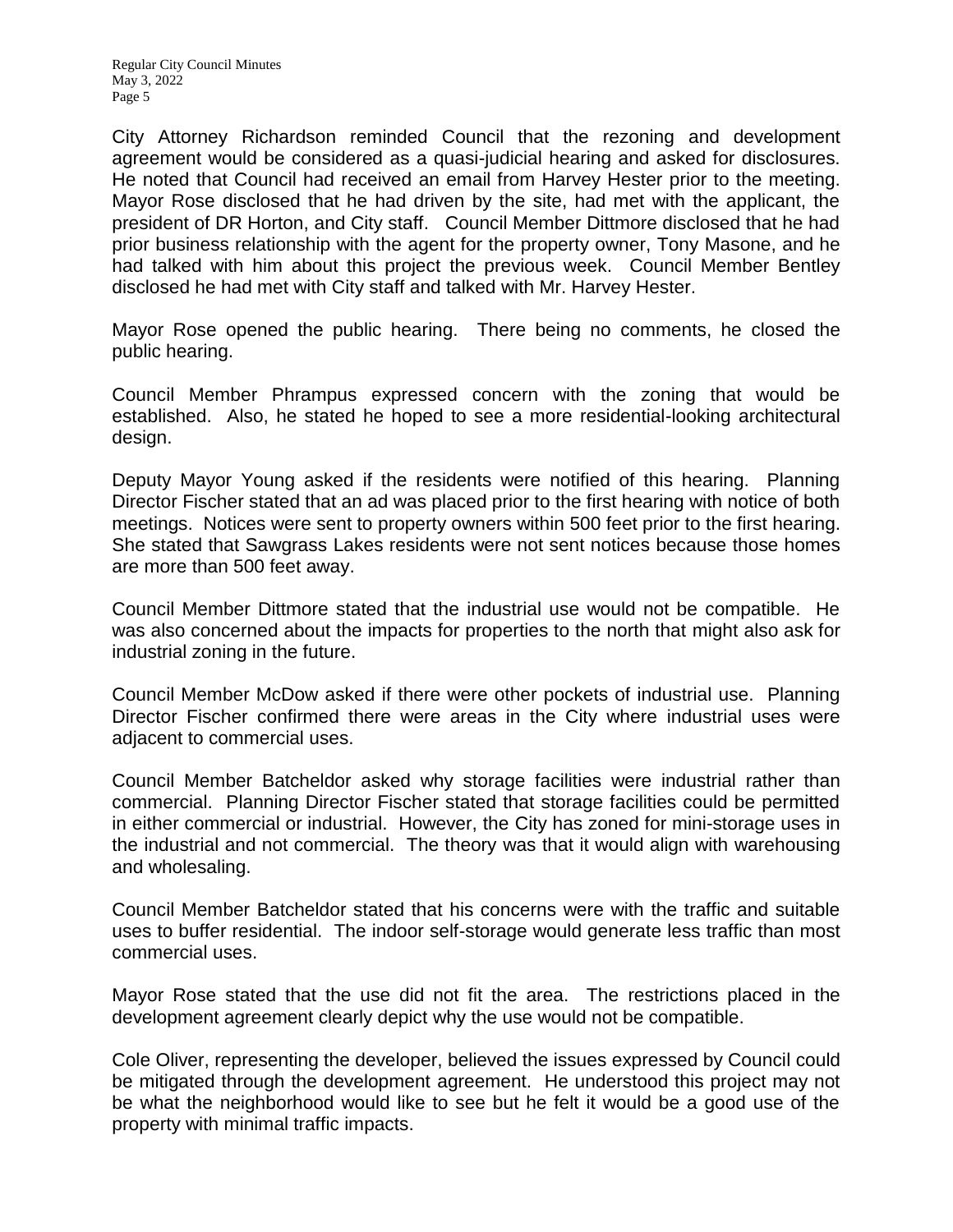City Attorney Richardson reminded Council that the rezoning and development agreement would be considered as a quasi-judicial hearing and asked for disclosures. He noted that Council had received an email from Harvey Hester prior to the meeting. Mayor Rose disclosed that he had driven by the site, had met with the applicant, the president of DR Horton, and City staff. Council Member Dittmore disclosed that he had prior business relationship with the agent for the property owner, Tony Masone, and he had talked with him about this project the previous week. Council Member Bentley disclosed he had met with City staff and talked with Mr. Harvey Hester.

Mayor Rose opened the public hearing. There being no comments, he closed the public hearing.

Council Member Phrampus expressed concern with the zoning that would be established. Also, he stated he hoped to see a more residential-looking architectural design.

Deputy Mayor Young asked if the residents were notified of this hearing. Planning Director Fischer stated that an ad was placed prior to the first hearing with notice of both meetings. Notices were sent to property owners within 500 feet prior to the first hearing. She stated that Sawgrass Lakes residents were not sent notices because those homes are more than 500 feet away.

Council Member Dittmore stated that the industrial use would not be compatible. He was also concerned about the impacts for properties to the north that might also ask for industrial zoning in the future.

Council Member McDow asked if there were other pockets of industrial use. Planning Director Fischer confirmed there were areas in the City where industrial uses were adjacent to commercial uses.

Council Member Batcheldor asked why storage facilities were industrial rather than commercial. Planning Director Fischer stated that storage facilities could be permitted in either commercial or industrial. However, the City has zoned for mini-storage uses in the industrial and not commercial. The theory was that it would align with warehousing and wholesaling.

Council Member Batcheldor stated that his concerns were with the traffic and suitable uses to buffer residential. The indoor self-storage would generate less traffic than most commercial uses.

Mayor Rose stated that the use did not fit the area. The restrictions placed in the development agreement clearly depict why the use would not be compatible.

Cole Oliver, representing the developer, believed the issues expressed by Council could be mitigated through the development agreement. He understood this project may not be what the neighborhood would like to see but he felt it would be a good use of the property with minimal traffic impacts.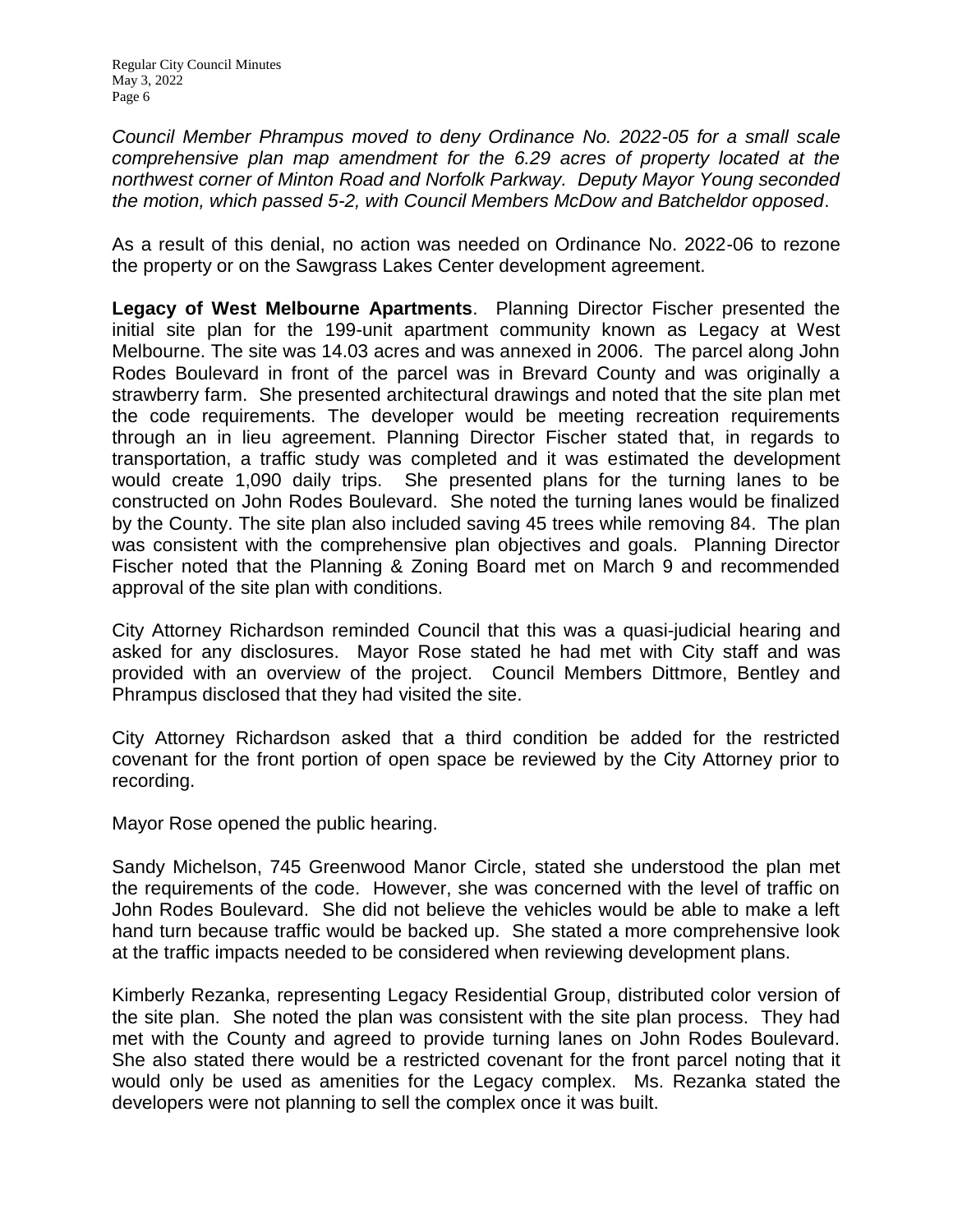*Council Member Phrampus moved to deny Ordinance No. 2022-05 for a small scale comprehensive plan map amendment for the 6.29 acres of property located at the northwest corner of Minton Road and Norfolk Parkway. Deputy Mayor Young seconded the motion, which passed 5-2, with Council Members McDow and Batcheldor opposed*.

As a result of this denial, no action was needed on Ordinance No. 2022-06 to rezone the property or on the Sawgrass Lakes Center development agreement.

**Legacy of West Melbourne Apartments**. Planning Director Fischer presented the initial site plan for the 199-unit apartment community known as Legacy at West Melbourne. The site was 14.03 acres and was annexed in 2006. The parcel along John Rodes Boulevard in front of the parcel was in Brevard County and was originally a strawberry farm. She presented architectural drawings and noted that the site plan met the code requirements. The developer would be meeting recreation requirements through an in lieu agreement. Planning Director Fischer stated that, in regards to transportation, a traffic study was completed and it was estimated the development would create 1,090 daily trips. She presented plans for the turning lanes to be constructed on John Rodes Boulevard. She noted the turning lanes would be finalized by the County. The site plan also included saving 45 trees while removing 84. The plan was consistent with the comprehensive plan objectives and goals. Planning Director Fischer noted that the Planning & Zoning Board met on March 9 and recommended approval of the site plan with conditions.

City Attorney Richardson reminded Council that this was a quasi-judicial hearing and asked for any disclosures. Mayor Rose stated he had met with City staff and was provided with an overview of the project. Council Members Dittmore, Bentley and Phrampus disclosed that they had visited the site.

City Attorney Richardson asked that a third condition be added for the restricted covenant for the front portion of open space be reviewed by the City Attorney prior to recording.

Mayor Rose opened the public hearing.

Sandy Michelson, 745 Greenwood Manor Circle, stated she understood the plan met the requirements of the code. However, she was concerned with the level of traffic on John Rodes Boulevard. She did not believe the vehicles would be able to make a left hand turn because traffic would be backed up. She stated a more comprehensive look at the traffic impacts needed to be considered when reviewing development plans.

Kimberly Rezanka, representing Legacy Residential Group, distributed color version of the site plan. She noted the plan was consistent with the site plan process. They had met with the County and agreed to provide turning lanes on John Rodes Boulevard. She also stated there would be a restricted covenant for the front parcel noting that it would only be used as amenities for the Legacy complex. Ms. Rezanka stated the developers were not planning to sell the complex once it was built.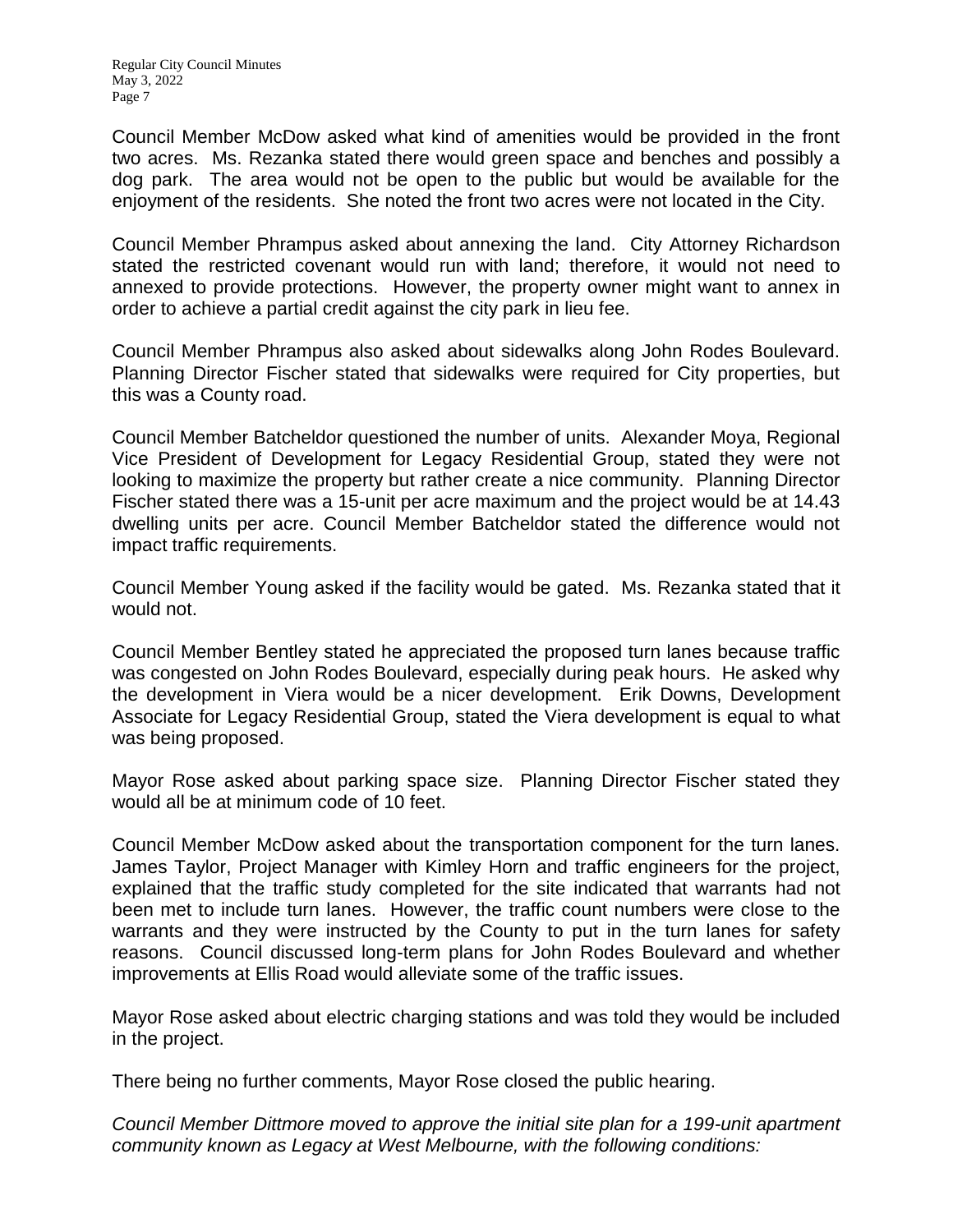Council Member McDow asked what kind of amenities would be provided in the front two acres. Ms. Rezanka stated there would green space and benches and possibly a dog park. The area would not be open to the public but would be available for the enjoyment of the residents. She noted the front two acres were not located in the City.

Council Member Phrampus asked about annexing the land. City Attorney Richardson stated the restricted covenant would run with land; therefore, it would not need to annexed to provide protections. However, the property owner might want to annex in order to achieve a partial credit against the city park in lieu fee.

Council Member Phrampus also asked about sidewalks along John Rodes Boulevard. Planning Director Fischer stated that sidewalks were required for City properties, but this was a County road.

Council Member Batcheldor questioned the number of units. Alexander Moya, Regional Vice President of Development for Legacy Residential Group, stated they were not looking to maximize the property but rather create a nice community. Planning Director Fischer stated there was a 15-unit per acre maximum and the project would be at 14.43 dwelling units per acre. Council Member Batcheldor stated the difference would not impact traffic requirements.

Council Member Young asked if the facility would be gated. Ms. Rezanka stated that it would not.

Council Member Bentley stated he appreciated the proposed turn lanes because traffic was congested on John Rodes Boulevard, especially during peak hours. He asked why the development in Viera would be a nicer development. Erik Downs, Development Associate for Legacy Residential Group, stated the Viera development is equal to what was being proposed.

Mayor Rose asked about parking space size. Planning Director Fischer stated they would all be at minimum code of 10 feet.

Council Member McDow asked about the transportation component for the turn lanes. James Taylor, Project Manager with Kimley Horn and traffic engineers for the project, explained that the traffic study completed for the site indicated that warrants had not been met to include turn lanes. However, the traffic count numbers were close to the warrants and they were instructed by the County to put in the turn lanes for safety reasons. Council discussed long-term plans for John Rodes Boulevard and whether improvements at Ellis Road would alleviate some of the traffic issues.

Mayor Rose asked about electric charging stations and was told they would be included in the project.

There being no further comments, Mayor Rose closed the public hearing.

*Council Member Dittmore moved to approve the initial site plan for a 199-unit apartment community known as Legacy at West Melbourne, with the following conditions:*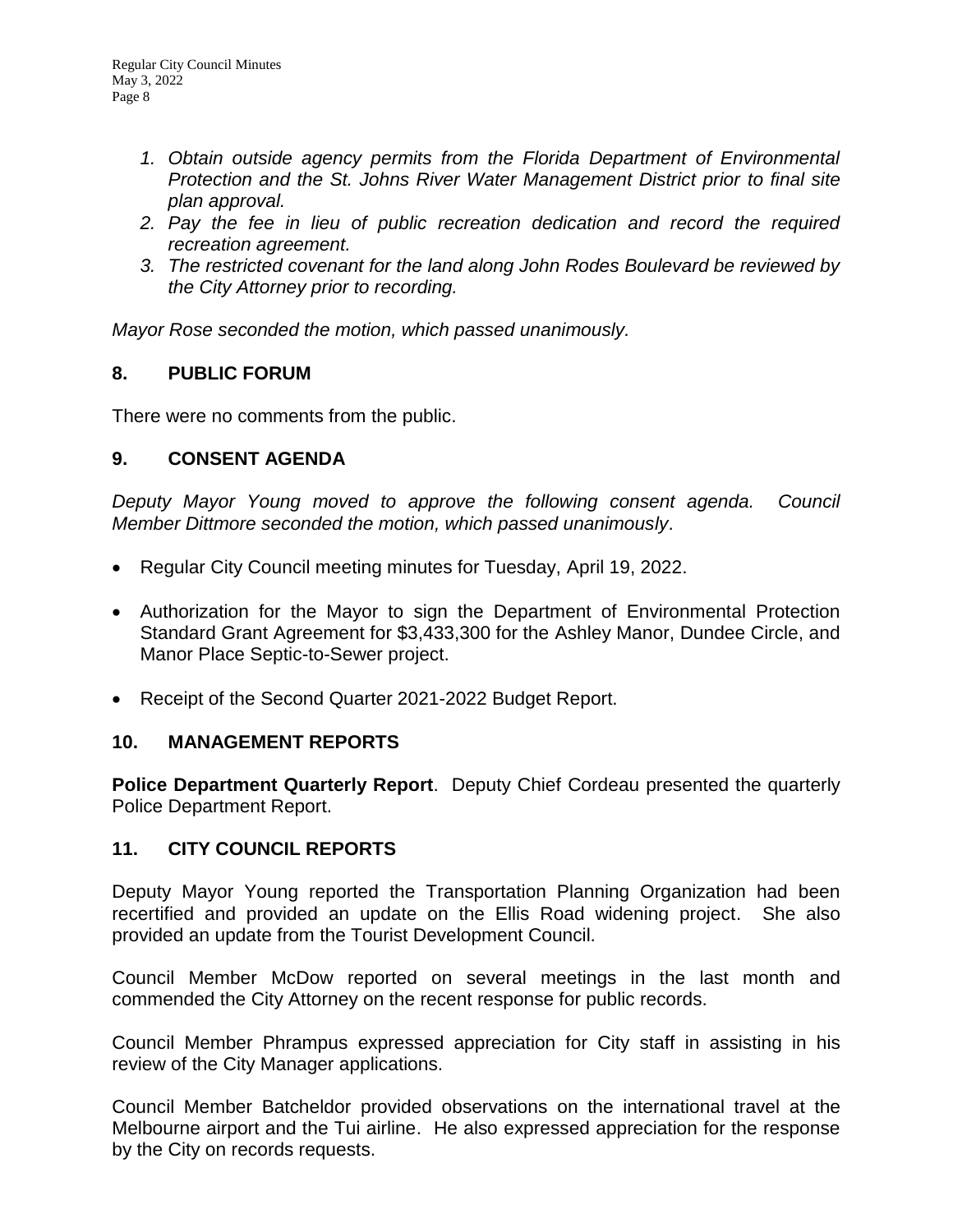- *1. Obtain outside agency permits from the Florida Department of Environmental Protection and the St. Johns River Water Management District prior to final site plan approval.*
- *2. Pay the fee in lieu of public recreation dedication and record the required recreation agreement.*
- *3. The restricted covenant for the land along John Rodes Boulevard be reviewed by the City Attorney prior to recording.*

*Mayor Rose seconded the motion, which passed unanimously.* 

### **8. PUBLIC FORUM**

There were no comments from the public.

### **9. CONSENT AGENDA**

*Deputy Mayor Young moved to approve the following consent agenda. Council Member Dittmore seconded the motion, which passed unanimously*.

- Regular City Council meeting minutes for Tuesday, April 19, 2022.
- Authorization for the Mayor to sign the Department of Environmental Protection Standard Grant Agreement for \$3,433,300 for the Ashley Manor, Dundee Circle, and Manor Place Septic-to-Sewer project.
- Receipt of the Second Quarter 2021-2022 Budget Report.

### **10. MANAGEMENT REPORTS**

**Police Department Quarterly Report**. Deputy Chief Cordeau presented the quarterly Police Department Report.

### **11. CITY COUNCIL REPORTS**

Deputy Mayor Young reported the Transportation Planning Organization had been recertified and provided an update on the Ellis Road widening project. She also provided an update from the Tourist Development Council.

Council Member McDow reported on several meetings in the last month and commended the City Attorney on the recent response for public records.

Council Member Phrampus expressed appreciation for City staff in assisting in his review of the City Manager applications.

Council Member Batcheldor provided observations on the international travel at the Melbourne airport and the Tui airline. He also expressed appreciation for the response by the City on records requests.